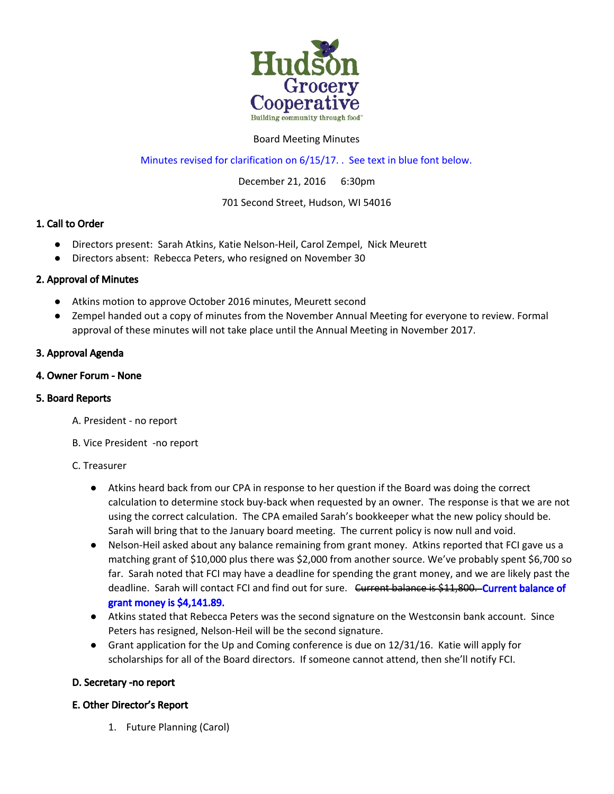

### Board Meeting Minutes

## Minutes revised for clarification on 6/15/17. . See text in blue font below.

December 21, 2016 6:30pm

### 701 Second Street, Hudson, WI 54016

## 1. Call to Order

- Directors present: Sarah Atkins, Katie Nelson-Heil, Carol Zempel, Nick Meurett
- Directors absent: Rebecca Peters, who resigned on November 30

## 2. Approval of Minutes

- Atkins motion to approve October 2016 minutes, Meurett second
- Zempel handed out a copy of minutes from the November Annual Meeting for everyone to review. Formal approval of these minutes will not take place until the Annual Meeting in November 2017.

## 3. Approval Agenda

### 4. Owner Forum - None

### 5. Board Reports

- A. President no report
- B. Vice President -no report

### C. Treasurer

- Atkins heard back from our CPA in response to her question if the Board was doing the correct calculation to determine stock buy-back when requested by an owner. The response is that we are not using the correct calculation. The CPA emailed Sarah's bookkeeper what the new policy should be. Sarah will bring that to the January board meeting. The current policy is now null and void.
- Nelson-Heil asked about any balance remaining from grant money. Atkins reported that FCI gave us a matching grant of \$10,000 plus there was \$2,000 from another source. We've probably spent \$6,700 so far. Sarah noted that FCI may have a deadline for spending the grant money, and we are likely past the deadline. Sarah will contact FCI and find out for sure. <del>Current balance is \$11,800. Current balance</del> of grant money is \$4,141.89.
- Atkins stated that Rebecca Peters was the second signature on the Westconsin bank account. Since Peters has resigned, Nelson-Heil will be the second signature.
- Grant application for the Up and Coming conference is due on 12/31/16. Katie will apply for scholarships for all of the Board directors. If someone cannot attend, then she'll notify FCI.

## D. Secretary -no report

## E. Other Director's Report

1. Future Planning (Carol)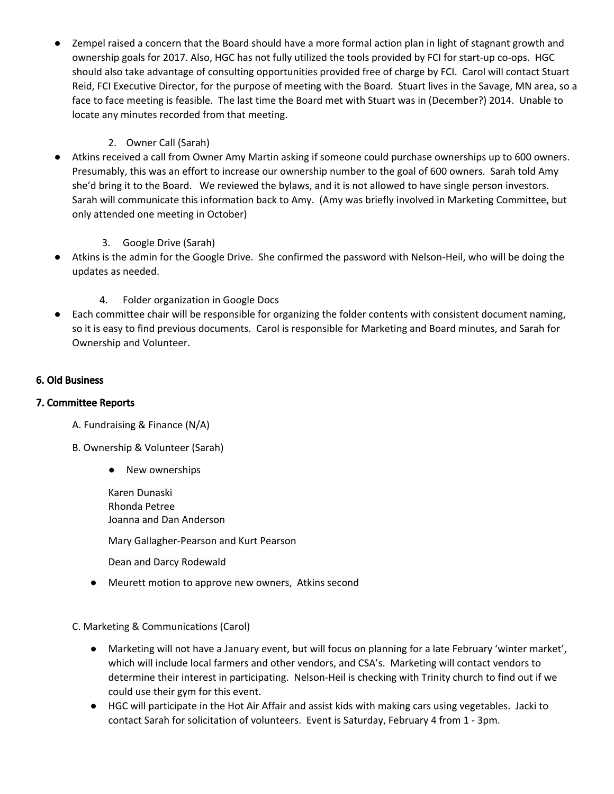Zempel raised a concern that the Board should have a more formal action plan in light of stagnant growth and ownership goals for 2017. Also, HGC has not fully utilized the tools provided by FCI for start-up co-ops. HGC should also take advantage of consulting opportunities provided free of charge by FCI. Carol will contact Stuart Reid, FCI Executive Director, for the purpose of meeting with the Board. Stuart lives in the Savage, MN area, so a face to face meeting is feasible. The last time the Board met with Stuart was in (December?) 2014. Unable to locate any minutes recorded from that meeting.

# 2. Owner Call (Sarah)

● Atkins received a call from Owner Amy Martin asking if someone could purchase ownerships up to 600 owners. Presumably, this was an effort to increase our ownership number to the goal of 600 owners. Sarah told Amy she'd bring it to the Board. We reviewed the bylaws, and it is not allowed to have single person investors. Sarah will communicate this information back to Amy. (Amy was briefly involved in Marketing Committee, but only attended one meeting in October)

# 3. Google Drive (Sarah)

● Atkins is the admin for the Google Drive. She confirmed the password with Nelson-Heil, who will be doing the updates as needed.

# 4. Folder organization in Google Docs

Each committee chair will be responsible for organizing the folder contents with consistent document naming, so it is easy to find previous documents. Carol is responsible for Marketing and Board minutes, and Sarah for Ownership and Volunteer.

# 6. Old Business

## 7. Committee Reports

- A. Fundraising & Finance (N/A)
- B. Ownership & Volunteer (Sarah)
	- New ownerships

Karen Dunaski Rhonda Petree Joanna and Dan Anderson

Mary Gallagher-Pearson and Kurt Pearson

Dean and Darcy Rodewald

● Meurett motion to approve new owners, Atkins second

C. Marketing & Communications (Carol)

- Marketing will not have a January event, but will focus on planning for a late February 'winter market', which will include local farmers and other vendors, and CSA's. Marketing will contact vendors to determine their interest in participating. Nelson-Heil is checking with Trinity church to find out if we could use their gym for this event.
- HGC will participate in the Hot Air Affair and assist kids with making cars using vegetables. Jacki to contact Sarah for solicitation of volunteers. Event is Saturday, February 4 from 1 - 3pm.